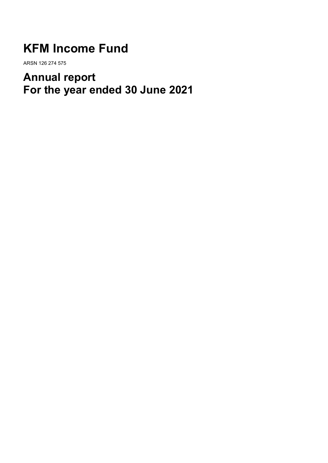# **KFM Income Fund**

ARSN 126 274 575

# **Annual report For the year ended 30 June 2021**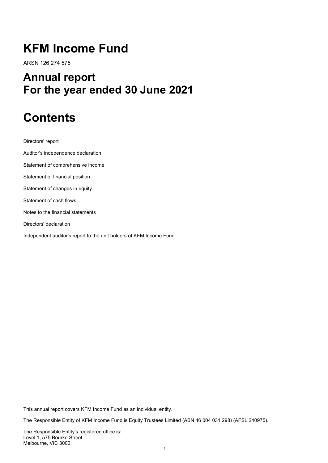# **KFM Income Fund**

ARSN 126 274 575

# **Annual report For the year ended 30 June 2021**

# **Contents**

Directors' report

Auditor's independence declaration Statement of comprehensive income Statement of financial position Statement of changes in equity Statement of cash flows Notes to the financial statements Directors' declaration Independent auditor's report to the unit holders of KFM Income Fund

This annual report covers KFM Income Fund as an individual entity.

The Responsible Entity of KFM Income Fund is Equity Trustees Limited (ABN 46 004 031 298) (AFSL 240975).

The Responsible Entity's registered office is: Level 1, 575 Bourke Street Melbourne, VIC 3000.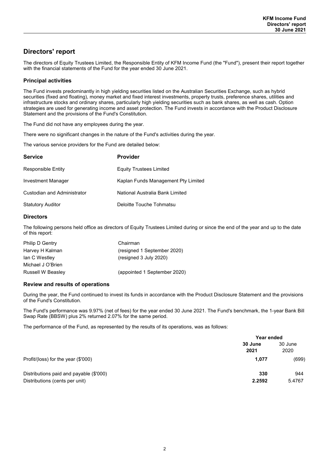# **Directors' report**

The directors of Equity Trustees Limited, the Responsible Entity of KFM Income Fund (the "Fund"), present their report together with the financial statements of the Fund for the year ended 30 June 2021.

### **Principal activities**

The Fund invests predominantly in high yielding securities listed on the Australian Securities Exchange, such as hybrid securities (fixed and floating), money market and fixed interest investments, property trusts, preference shares, utilities and infrastructure stocks and ordinary shares, particularly high yielding securities such as bank shares, as well as cash. Option strategies are used for generating income and asset protection. The Fund invests in accordance with the Product Disclosure Statement and the provisions of the Fund's Constitution.

The Fund did not have any employees during the year.

There were no significant changes in the nature of the Fund's activities during the year.

The various service providers for the Fund are detailed below:

| <b>Service</b>              | <b>Provider</b>                     |
|-----------------------------|-------------------------------------|
| <b>Responsible Entity</b>   | <b>Equity Trustees Limited</b>      |
| Investment Manager          | Kaplan Funds Management Pty Limited |
| Custodian and Administrator | National Australia Bank Limited     |
| <b>Statutory Auditor</b>    | Deloitte Touche Tohmatsu            |

### **Directors**

The following persons held office as directors of Equity Trustees Limited during or since the end of the year and up to the date of this report:

| Chairman                     |
|------------------------------|
| (resigned 1 September 2020)  |
| (resigned 3 July 2020)       |
|                              |
| (appointed 1 September 2020) |
|                              |

### **Review and results of operations**

During the year, the Fund continued to invest its funds in accordance with the Product Disclosure Statement and the provisions of the Fund's Constitution.

The Fund's performance was 9.97% (net of fees) for the year ended 30 June 2021. The Fund's benchmark, the 1-year Bank Bill Swap Rate (BBSW) plus 2% returned 2.07% for the same period.

The performance of the Fund, as represented by the results of its operations, was as follows:

|                                                                           | Year ended      |                 |  |
|---------------------------------------------------------------------------|-----------------|-----------------|--|
|                                                                           | 30 June<br>2021 | 30 June<br>2020 |  |
| Profit/(loss) for the year (\$'000)                                       | 1,077           | (699)           |  |
| Distributions paid and payable (\$'000)<br>Distributions (cents per unit) | 330<br>2.2592   | 944<br>5.4767   |  |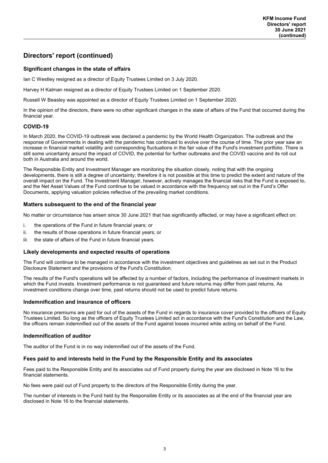## **Directors' report (continued)**

### **Significant changes in the state of affairs**

Ian C Westley resigned as a director of Equity Trustees Limited on 3 July 2020.

Harvey H Kalman resigned as a director of Equity Trustees Limited on 1 September 2020.

Russell W Beasley was appointed as a director of Equity Trustees Limited on 1 September 2020.

In the opinion of the directors, there were no other significant changes in the state of affairs of the Fund that occurred during the financial year.

### **COVID-19**

In March 2020, the COVID-19 outbreak was declared a pandemic by the World Health Organization. The outbreak and the response of Governments in dealing with the pandemic has continued to evolve over the course of time. The prior year saw an increase in financial market volatility and corresponding fluctuations in the fair value of the Fund's investment portfolio. There is still some uncertainty around the impact of COVID, the potential for further outbreaks and the COVID vaccine and its roll out both in Australia and around the world.

The Responsible Entity and Investment Manager are monitoring the situation closely, noting that with the ongoing developments, there is still a degree of uncertainty; therefore it is not possible at this time to predict the extent and nature of the overall impact on the Fund. The Investment Manager, however, actively manages the financial risks that the Fund is exposed to, and the Net Asset Values of the Fund continue to be valued in accordance with the frequency set out in the Fund's Offer Documents, applying valuation policies reflective of the prevailing market conditions.

### **Matters subsequent to the end of the financial year**

No matter or circumstance has arisen since 30 June 2021 that has significantly affected, or may have a significant effect on:

- i. the operations of the Fund in future financial years; or
- ii. the results of those operations in future financial years; or
- iii. the state of affairs of the Fund in future financial vears.

### **Likely developments and expected results of operations**

The Fund will continue to be managed in accordance with the investment objectives and guidelines as set out in the Product Disclosure Statement and the provisions of the Fund's Constitution.

The results of the Fund's operations will be affected by a number of factors, including the performance of investment markets in which the Fund invests. Investment performance is not guaranteed and future returns may differ from past returns. As investment conditions change over time, past returns should not be used to predict future returns.

### **Indemnification and insurance of officers**

No insurance premiums are paid for out of the assets of the Fund in regards to insurance cover provided to the officers of Equity Trustees Limited. So long as the officers of Equity Trustees Limited act in accordance with the Fund's Constitution and the Law, the officers remain indemnified out of the assets of the Fund against losses incurred while acting on behalf of the Fund.

### **Indemnification of auditor**

The auditor of the Fund is in no way indemnified out of the assets of the Fund.

### **Fees paid to and interests held in the Fund by the Responsible Entity and its associates**

Fees paid to the Responsible Entity and its associates out of Fund property during the year are disclosed in Note 16 to the financial statements.

No fees were paid out of Fund property to the directors of the Responsible Entity during the year.

The number of interests in the Fund held by the Responsible Entity or its associates as at the end of the financial year are disclosed in Note 16 to the financial statements.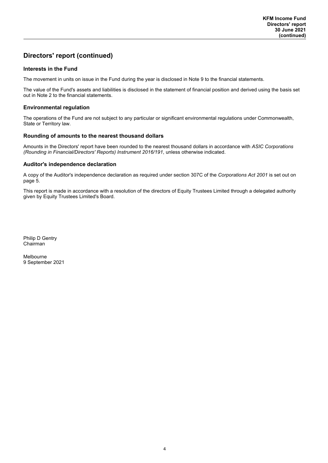# **Directors' report (continued)**

### **Interests in the Fund**

The movement in units on issue in the Fund during the year is disclosed in Note 9 to the financial statements.

The value of the Fund's assets and liabilities is disclosed in the statement of financial position and derived using the basis set out in Note 2 to the financial statements.

### **Environmental regulation**

The operations of the Fund are not subject to any particular or significant environmental regulations under Commonwealth, State or Territory law.

### **Rounding of amounts to the nearest thousand dollars**

Amounts in the Directors' report have been rounded to the nearest thousand dollars in accordance with *ASIC Corporations (Rounding in Financial/Directors' Reports) Instrument 2016/191*, unless otherwise indicated.

### **Auditor's independence declaration**

A copy of the Auditor's independence declaration as required under section 307C of the *Corporations Act 2001* is set out on page 5.

This report is made in accordance with a resolution of the directors of Equity Trustees Limited through a delegated authority given by Equity Trustees Limited's Board.

Philip D Gentry Chairman

Melbourne 9 September 2021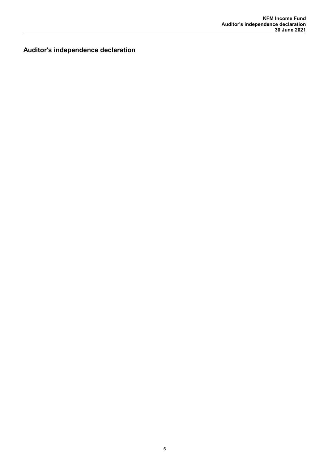**Auditor's independence declaration**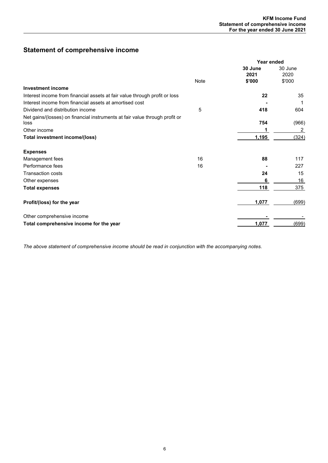# **Statement of comprehensive income**

|                                                                                     |      | Year ended      |                 |
|-------------------------------------------------------------------------------------|------|-----------------|-----------------|
|                                                                                     |      | 30 June<br>2021 | 30 June<br>2020 |
|                                                                                     | Note | \$'000          | \$'000          |
| <b>Investment income</b>                                                            |      |                 |                 |
| Interest income from financial assets at fair value through profit or loss          |      | 22              | 35              |
| Interest income from financial assets at amortised cost                             |      |                 |                 |
| Dividend and distribution income                                                    | 5    | 418             | 604             |
| Net gains/(losses) on financial instruments at fair value through profit or<br>loss |      | 754             | (966)           |
| Other income                                                                        |      |                 | 2               |
| Total investment income/(loss)                                                      |      | 1,195           | (324)           |
| <b>Expenses</b>                                                                     |      |                 |                 |
| Management fees                                                                     | 16   | 88              | 117             |
| Performance fees                                                                    | 16   |                 | 227             |
| <b>Transaction costs</b>                                                            |      | 24              | 15              |
| Other expenses                                                                      |      | 6               | 16              |
| <b>Total expenses</b>                                                               |      | 118             | 375             |
| Profit/(loss) for the year                                                          |      | 1,077           | (699)           |
| Other comprehensive income                                                          |      |                 |                 |
| Total comprehensive income for the year                                             |      | 1,077           | (699)           |

*The above statement of comprehensive income should be read in conjunction with the accompanying notes.*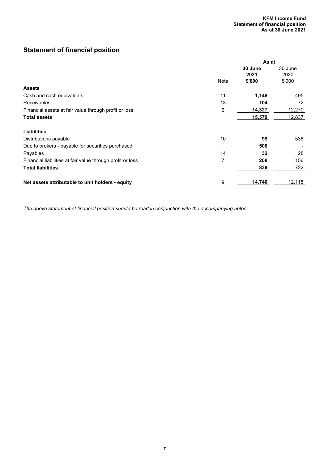# **Statement of financial position**

|                                                            |      | As at   |         |  |  |
|------------------------------------------------------------|------|---------|---------|--|--|
|                                                            |      | 30 June | 30 June |  |  |
|                                                            |      | 2021    | 2020    |  |  |
|                                                            | Note | \$'000  | \$'000  |  |  |
| <b>Assets</b>                                              |      |         |         |  |  |
| Cash and cash equivalents                                  | 11   | 1,148   | 495     |  |  |
| Receivables                                                | 13   | 104     | 72      |  |  |
| Financial assets at fair value through profit or loss      | 6    | 14,327  | 12,270  |  |  |
| <b>Total assets</b>                                        |      | 15,579  | 12,837  |  |  |
| <b>Liabilities</b>                                         |      |         |         |  |  |
| Distributions payable                                      | 10   | 99      | 538     |  |  |
|                                                            |      | 500     |         |  |  |
| Due to brokers - payable for securities purchased          |      |         |         |  |  |
| Payables                                                   | 14   | 32      | 28      |  |  |
| Financial liabilities at fair value through profit or loss | 7    | 208     | 156     |  |  |
| <b>Total liabilities</b>                                   |      | 839     | 722     |  |  |
|                                                            | 9    |         |         |  |  |
| Net assets attributable to unit holders - equity           |      | 14,740  | 12,115  |  |  |

*The above statement of financial position should be read in conjunction with the accompanying notes.*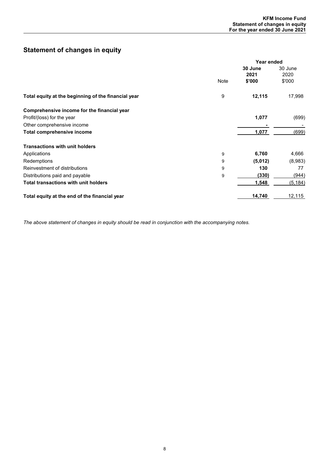# **Statement of changes in equity**

|                                                     |      | Year ended      |                 |  |  |
|-----------------------------------------------------|------|-----------------|-----------------|--|--|
|                                                     |      | 30 June<br>2021 | 30 June<br>2020 |  |  |
|                                                     | Note | \$'000          | \$'000          |  |  |
| Total equity at the beginning of the financial year | 9    | 12,115          | 17,998          |  |  |
| Comprehensive income for the financial year         |      |                 |                 |  |  |
| Profit/(loss) for the year                          |      | 1,077           | (699)           |  |  |
| Other comprehensive income                          |      |                 |                 |  |  |
| <b>Total comprehensive income</b>                   |      | 1,077           | (699)           |  |  |
| <b>Transactions with unit holders</b>               |      |                 |                 |  |  |
| Applications                                        | 9    | 6,760           | 4,666           |  |  |
| Redemptions                                         | 9    | (5,012)         | (8,983)         |  |  |
| Reinvestment of distributions                       | 9    | 130             | 77              |  |  |
| Distributions paid and payable                      | 9    | (330)           | (944)           |  |  |
| <b>Total transactions with unit holders</b>         |      | 1,548           | (5, 184)        |  |  |
| Total equity at the end of the financial year       |      | 14,740          | 12,115          |  |  |

*The above statement of changes in equity should be read in conjunction with the accompanying notes.*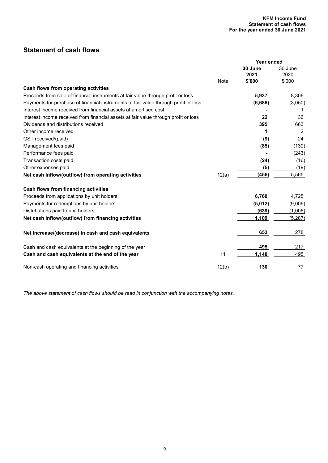# **Statement of cash flows**

|                                                                                     |       | Year ended      |                 |
|-------------------------------------------------------------------------------------|-------|-----------------|-----------------|
|                                                                                     |       | 30 June<br>2021 | 30 June<br>2020 |
|                                                                                     | Note  | \$'000          | \$'000          |
| Cash flows from operating activities                                                |       |                 |                 |
| Proceeds from sale of financial instruments at fair value through profit or loss    |       | 5,937           | 8,306           |
| Payments for purchase of financial instruments at fair value through profit or loss |       | (6,688)         | (3,050)         |
| Interest income received from financial assets at amortised cost                    |       |                 |                 |
| Interest income received from financial assets at fair value through profit or loss |       | 22              | 36              |
| Dividends and distributions received                                                |       | 395             | 663             |
| Other income received                                                               |       | 1               | 2               |
| GST received/(paid)                                                                 |       | (9)             | 24              |
| Management fees paid                                                                |       | (85)            | (139)           |
| Performance fees paid                                                               |       |                 | (243)           |
| Transaction costs paid                                                              |       | (24)            | (16)            |
| Other expenses paid                                                                 |       | (5)             | (19)            |
| Net cash inflow/(outflow) from operating activities                                 | 12(a) | (456)           | 5,565           |
| <b>Cash flows from financing activities</b>                                         |       |                 |                 |
| Proceeds from applications by unit holders                                          |       | 6,760           | 4,725           |
| Payments for redemptions by unit holders                                            |       | (5,012)         | (9,006)         |
| Distributions paid to unit holders                                                  |       | (639)           | (1,006)         |
| Net cash inflow/(outflow) from financing activities                                 |       | 1,109           | (5, 287)        |
| Net increase/(decrease) in cash and cash equivalents                                |       | 653             | 278             |
| Cash and cash equivalents at the beginning of the year                              |       | 495             | 217             |
| Cash and cash equivalents at the end of the year                                    | 11    | 1,148           | 495             |
| Non-cash operating and financing activities                                         | 12(b) | 130             | 77              |

*The above statement of cash flows should be read in conjunction with the accompanying notes.*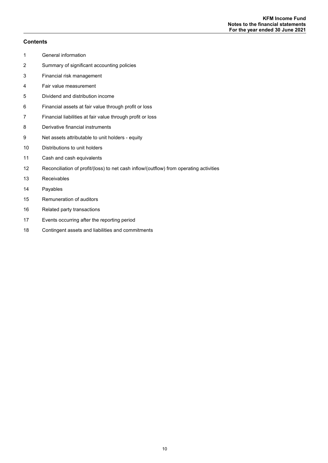### **Contents**

- General information
- Summary of significant accounting policies
- Financial risk management
- Fair value measurement
- Dividend and distribution income
- Financial assets at fair value through profit or loss
- Financial liabilities at fair value through profit or loss
- Derivative financial instruments
- Net assets attributable to unit holders equity
- Distributions to unit holders
- Cash and cash equivalents
- Reconciliation of profit/(loss) to net cash inflow/(outflow) from operating activities
- Receivables
- Payables
- Remuneration of auditors
- Related party transactions
- Events occurring after the reporting period
- Contingent assets and liabilities and commitments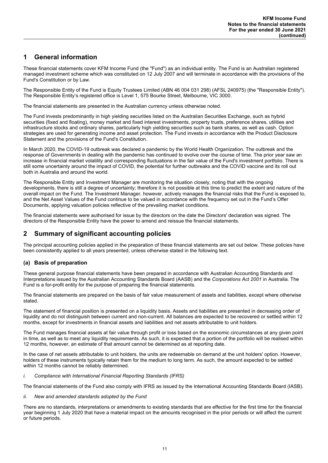# **1 General information**

These financial statements cover KFM Income Fund (the "Fund") as an individual entity. The Fund is an Australian registered managed investment scheme which was constituted on 12 July 2007 and will terminate in accordance with the provisions of the Fund's Constitution or by Law.

The Responsible Entity of the Fund is Equity Trustees Limited (ABN 46 004 031 298) (AFSL 240975) (the "Responsible Entity"). The Responsible Entity's registered office is Level 1, 575 Bourke Street, Melbourne, VIC 3000.

The financial statements are presented in the Australian currency unless otherwise noted.

The Fund invests predominantly in high yielding securities listed on the Australian Securities Exchange, such as hybrid securities (fixed and floating), money market and fixed interest investments, property trusts, preference shares, utilities and infrastructure stocks and ordinary shares, particularly high yielding securities such as bank shares, as well as cash. Option strategies are used for generating income and asset protection. The Fund invests in accordance with the Product Disclosure Statement and the provisions of the Fund's Constitution.

In March 2020, the COVID-19 outbreak was declared a pandemic by the World Health Organization. The outbreak and the response of Governments in dealing with the pandemic has continued to evolve over the course of time. The prior year saw an increase in financial market volatility and corresponding fluctuations in the fair value of the Fund's investment portfolio. There is still some uncertainty around the impact of COVID, the potential for further outbreaks and the COVID vaccine and its roll out both in Australia and around the world.

The Responsible Entity and Investment Manager are monitoring the situation closely, noting that with the ongoing developments, there is still a degree of uncertainty; therefore it is not possible at this time to predict the extent and nature of the overall impact on the Fund. The Investment Manager, however, actively manages the financial risks that the Fund is exposed to, and the Net Asset Values of the Fund continue to be valued in accordance with the frequency set out in the Fund's Offer Documents, applying valuation policies reflective of the prevailing market conditions.

The financial statements were authorised for issue by the directors on the date the Directors' declaration was signed. The directors of the Responsible Entity have the power to amend and reissue the financial statements.

# **2 Summary of significant accounting policies**

The principal accounting policies applied in the preparation of these financial statements are set out below. These policies have been consistently applied to all years presented, unless otherwise stated in the following text.

### **(a) Basis of preparation**

These general purpose financial statements have been prepared in accordance with Australian Accounting Standards and Interpretations issued by the Australian Accounting Standards Board (AASB) and the *Corporations Act 2001* in Australia. The Fund is a for-profit entity for the purpose of preparing the financial statements.

The financial statements are prepared on the basis of fair value measurement of assets and liabilities, except where otherwise stated.

The statement of financial position is presented on a liquidity basis. Assets and liabilities are presented in decreasing order of liquidity and do not distinguish between current and non-current. All balances are expected to be recovered or settled within 12 months, except for investments in financial assets and liabilities and net assets attributable to unit holders.

The Fund manages financial assets at fair value through profit or loss based on the economic circumstances at any given point in time, as well as to meet any liquidity requirements. As such, it is expected that a portion of the portfolio will be realised within 12 months, however, an estimate of that amount cannot be determined as at reporting date.

In the case of net assets attributable to unit holders, the units are redeemable on demand at the unit holders' option. However, holders of these instruments typically retain them for the medium to long term. As such, the amount expected to be settled within 12 months cannot be reliably determined.

### *i. Compliance with International Financial Reporting Standards (IFRS)*

The financial statements of the Fund also comply with IFRS as issued by the International Accounting Standards Board (IASB).

### *ii. New and amended standards adopted by the Fund*

There are no standards, interpretations or amendments to existing standards that are effective for the first time for the financial year beginning 1 July 2020 that have a material impact on the amounts recognised in the prior periods or will affect the current or future periods.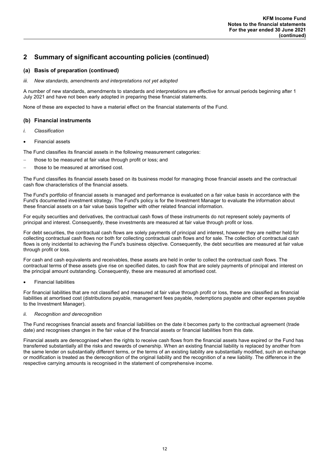### **(a) Basis of preparation (continued)**

### *iii. New standards, amendments and interpretations not yet adopted*

A number of new standards, amendments to standards and interpretations are effective for annual periods beginning after 1 July 2021 and have not been early adopted in preparing these financial statements.

None of these are expected to have a material effect on the financial statements of the Fund.

### **(b) Financial instruments**

- *i. Classification*
- Financial assets

The Fund classifies its financial assets in the following measurement categories:

- those to be measured at fair value through profit or loss; and
- those to be measured at amortised cost.

The Fund classifies its financial assets based on its business model for managing those financial assets and the contractual cash flow characteristics of the financial assets.

The Fund's portfolio of financial assets is managed and performance is evaluated on a fair value basis in accordance with the Fund's documented investment strategy. The Fund's policy is for the Investment Manager to evaluate the information about these financial assets on a fair value basis together with other related financial information.

For equity securities and derivatives, the contractual cash flows of these instruments do not represent solely payments of principal and interest. Consequently, these investments are measured at fair value through profit or loss.

For debt securities, the contractual cash flows are solely payments of principal and interest, however they are neither held for collecting contractual cash flows nor both for collecting contractual cash flows and for sale. The collection of contractual cash flows is only incidental to achieving the Fund's business objective. Consequently, the debt securities are measured at fair value through profit or loss.

For cash and cash equivalents and receivables, these assets are held in order to collect the contractual cash flows. The contractual terms of these assets give rise on specified dates, to cash flow that are solely payments of principal and interest on the principal amount outstanding. Consequently, these are measured at amortised cost.

Financial liabilities

For financial liabilities that are not classified and measured at fair value through profit or loss, these are classified as financial liabilities at amortised cost (distributions payable, management fees payable, redemptions payable and other expenses payable to the Investment Manager).

### *ii. Recognition and derecognition*

The Fund recognises financial assets and financial liabilities on the date it becomes party to the contractual agreement (trade date) and recognises changes in the fair value of the financial assets or financial liabilities from this date.

Financial assets are derecognised when the rights to receive cash flows from the financial assets have expired or the Fund has transferred substantially all the risks and rewards of ownership. When an existing financial liability is replaced by another from the same lender on substantially different terms, or the terms of an existing liability are substantially modified, such an exchange or modification is treated as the derecognition of the original liability and the recognition of a new liability. The difference in the respective carrying amounts is recognised in the statement of comprehensive income.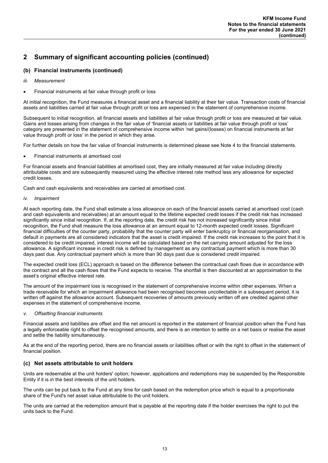### **(b) Financial instruments (continued)**

- *iii. Measurement*
- Financial instruments at fair value through profit or loss

At initial recognition, the Fund measures a financial asset and a financial liability at their fair value. Transaction costs of financial assets and liabilities carried at fair value through profit or loss are expensed in the statement of comprehensive income.

Subsequent to initial recognition, all financial assets and liabilities at fair value through profit or loss are measured at fair value. Gains and losses arising from changes in the fair value of 'financial assets or liabilities at fair value through profit or loss' category are presented in the statement of comprehensive income within 'net gains/(losses) on financial instruments at fair value through profit or loss' in the period in which they arise.

For further details on how the fair value of financial instruments is determined please see Note 4 to the financial statements.

Financial instruments at amortised cost

For financial assets and financial liabilities at amortised cost, they are initially measured at fair value including directly attributable costs and are subsequently measured using the effective interest rate method less any allowance for expected credit losses.

Cash and cash equivalents and receivables are carried at amortised cost.

### *iv. Impairment*

At each reporting date, the Fund shall estimate a loss allowance on each of the financial assets carried at amortised cost (cash and cash equivalents and receivables) at an amount equal to the lifetime expected credit losses if the credit risk has increased significantly since initial recognition. If, at the reporting date, the credit risk has not increased significantly since initial recognition, the Fund shall measure the loss allowance at an amount equal to 12-month expected credit losses. Significant financial difficulties of the counter party, probability that the counter party will enter bankruptcy or financial reorganisation, and default in payments are all considered indicators that the asset is credit impaired. If the credit risk increases to the point that it is considered to be credit impaired, interest income will be calculated based on the net carrying amount adjusted for the loss allowance. A significant increase in credit risk is defined by management as any contractual payment which is more than 30 days past due. Any contractual payment which is more than 90 days past due is considered credit impaired.

The expected credit loss (ECL) approach is based on the difference between the contractual cash flows due in accordance with the contract and all the cash flows that the Fund expects to receive. The shortfall is then discounted at an approximation to the asset's original effective interest rate.

The amount of the impairment loss is recognised in the statement of comprehensive income within other expenses. When a trade receivable for which an impairment allowance had been recognised becomes uncollectable in a subsequent period, it is written off against the allowance account. Subsequent recoveries of amounts previously written off are credited against other expenses in the statement of comprehensive income.

### *v. Offsetting financial instruments*

Financial assets and liabilities are offset and the net amount is reported in the statement of financial position when the Fund has a legally enforceable right to offset the recognised amounts, and there is an intention to settle on a net basis or realise the asset and settle the liability simultaneously.

As at the end of the reporting period, there are no financial assets or liabilities offset or with the right to offset in the statement of financial position.

### **(c) Net assets attributable to unit holders**

Units are redeemable at the unit holders' option; however, applications and redemptions may be suspended by the Responsible Entity if it is in the best interests of the unit holders.

The units can be put back to the Fund at any time for cash based on the redemption price which is equal to a proportionate share of the Fund's net asset value attributable to the unit holders.

The units are carried at the redemption amount that is payable at the reporting date if the holder exercises the right to put the units back to the Fund.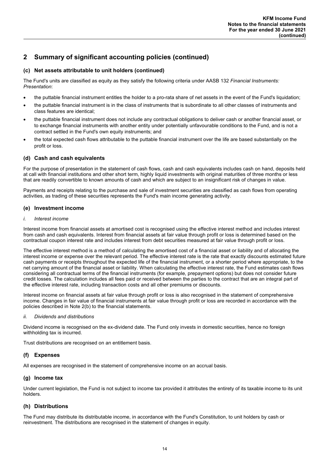### **(c) Net assets attributable to unit holders (continued)**

The Fund's units are classified as equity as they satisfy the following criteria under AASB 132 *Financial Instruments: Presentation*:

- the puttable financial instrument entitles the holder to a pro-rata share of net assets in the event of the Fund's liquidation;
- the puttable financial instrument is in the class of instruments that is subordinate to all other classes of instruments and class features are identical;
- the puttable financial instrument does not include any contractual obligations to deliver cash or another financial asset, or to exchange financial instruments with another entity under potentially unfavourable conditions to the Fund, and is not a contract settled in the Fund's own equity instruments; and
- the total expected cash flows attributable to the puttable financial instrument over the life are based substantially on the profit or loss.

### **(d) Cash and cash equivalents**

For the purpose of presentation in the statement of cash flows, cash and cash equivalents includes cash on hand, deposits held at call with financial institutions and other short term, highly liquid investments with original maturities of three months or less that are readily convertible to known amounts of cash and which are subject to an insignificant risk of changes in value.

Payments and receipts relating to the purchase and sale of investment securities are classified as cash flows from operating activities, as trading of these securities represents the Fund's main income generating activity.

### **(e) Investment income**

### *i. Interest income*

Interest income from financial assets at amortised cost is recognised using the effective interest method and includes interest from cash and cash equivalents. Interest from financial assets at fair value through profit or loss is determined based on the contractual coupon interest rate and includes interest from debt securities measured at fair value through profit or loss.

The effective interest method is a method of calculating the amortised cost of a financial asset or liability and of allocating the interest income or expense over the relevant period. The effective interest rate is the rate that exactly discounts estimated future cash payments or receipts throughout the expected life of the financial instrument, or a shorter period where appropriate, to the net carrying amount of the financial asset or liability. When calculating the effective interest rate, the Fund estimates cash flows considering all contractual terms of the financial instruments (for example, prepayment options) but does not consider future credit losses. The calculation includes all fees paid or received between the parties to the contract that are an integral part of the effective interest rate, including transaction costs and all other premiums or discounts.

Interest income on financial assets at fair value through profit or loss is also recognised in the statement of comprehensive income. Changes in fair value of financial instruments at fair value through profit or loss are recorded in accordance with the policies described in Note 2(b) to the financial statements.

### *ii. Dividends and distributions*

Dividend income is recognised on the ex-dividend date. The Fund only invests in domestic securities, hence no foreign withholding tax is incurred.

Trust distributions are recognised on an entitlement basis.

### **(f) Expenses**

All expenses are recognised in the statement of comprehensive income on an accrual basis.

### **(g) Income tax**

Under current legislation, the Fund is not subject to income tax provided it attributes the entirety of its taxable income to its unit holders.

### **(h) Distributions**

The Fund may distribute its distributable income, in accordance with the Fund's Constitution, to unit holders by cash or reinvestment. The distributions are recognised in the statement of changes in equity.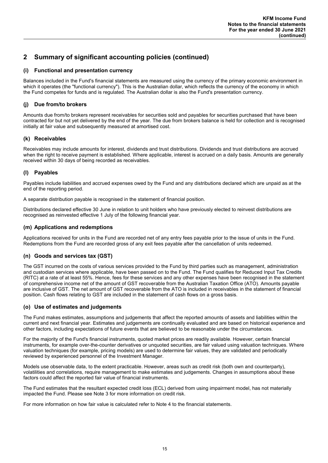### **(i) Functional and presentation currency**

Balances included in the Fund's financial statements are measured using the currency of the primary economic environment in which it operates (the "functional currency"). This is the Australian dollar, which reflects the currency of the economy in which the Fund competes for funds and is regulated. The Australian dollar is also the Fund's presentation currency.

### **(j) Due from/to brokers**

Amounts due from/to brokers represent receivables for securities sold and payables for securities purchased that have been contracted for but not yet delivered by the end of the year. The due from brokers balance is held for collection and is recognised initially at fair value and subsequently measured at amortised cost.

### **(k) Receivables**

Receivables may include amounts for interest, dividends and trust distributions. Dividends and trust distributions are accrued when the right to receive payment is established. Where applicable, interest is accrued on a daily basis. Amounts are generally received within 30 days of being recorded as receivables.

### **(l) Payables**

Payables include liabilities and accrued expenses owed by the Fund and any distributions declared which are unpaid as at the end of the reporting period.

A separate distribution payable is recognised in the statement of financial position.

Distributions declared effective 30 June in relation to unit holders who have previously elected to reinvest distributions are recognised as reinvested effective 1 July of the following financial year.

### **(m) Applications and redemptions**

Applications received for units in the Fund are recorded net of any entry fees payable prior to the issue of units in the Fund. Redemptions from the Fund are recorded gross of any exit fees payable after the cancellation of units redeemed.

### **(n) Goods and services tax (GST)**

The GST incurred on the costs of various services provided to the Fund by third parties such as management, administration and custodian services where applicable, have been passed on to the Fund. The Fund qualifies for Reduced Input Tax Credits (RITC) at a rate of at least 55%. Hence, fees for these services and any other expenses have been recognised in the statement of comprehensive income net of the amount of GST recoverable from the Australian Taxation Office (ATO). Amounts payable are inclusive of GST. The net amount of GST recoverable from the ATO is included in receivables in the statement of financial position. Cash flows relating to GST are included in the statement of cash flows on a gross basis.

### **(o) Use of estimates and judgements**

The Fund makes estimates, assumptions and judgements that affect the reported amounts of assets and liabilities within the current and next financial year. Estimates and judgements are continually evaluated and are based on historical experience and other factors, including expectations of future events that are believed to be reasonable under the circumstances.

For the majority of the Fund's financial instruments, quoted market prices are readily available. However, certain financial instruments, for example over-the-counter derivatives or unquoted securities, are fair valued using valuation techniques. Where valuation techniques (for example, pricing models) are used to determine fair values, they are validated and periodically reviewed by experienced personnel of the Investment Manager.

Models use observable data, to the extent practicable. However, areas such as credit risk (both own and counterparty), volatilities and correlations, require management to make estimates and judgements. Changes in assumptions about these factors could affect the reported fair value of financial instruments.

The Fund estimates that the resultant expected credit loss (ECL) derived from using impairment model, has not materially impacted the Fund. Please see Note 3 for more information on credit risk.

For more information on how fair value is calculated refer to Note 4 to the financial statements.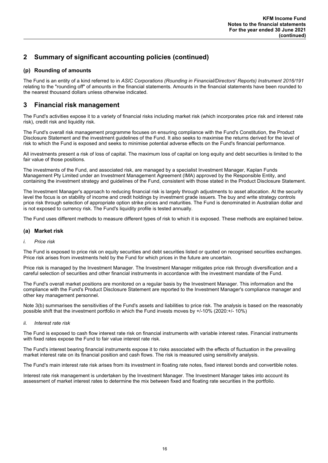### **(p) Rounding of amounts**

The Fund is an entity of a kind referred to in *ASIC Corporations (Rounding in Financial/Directors' Reports) Instrument 2016/191* relating to the "rounding off" of amounts in the financial statements. Amounts in the financial statements have been rounded to the nearest thousand dollars unless otherwise indicated.

## **3 Financial risk management**

The Fund's activities expose it to a variety of financial risks including market risk (which incorporates price risk and interest rate risk), credit risk and liquidity risk.

The Fund's overall risk management programme focuses on ensuring compliance with the Fund's Constitution, the Product Disclosure Statement and the investment guidelines of the Fund. It also seeks to maximise the returns derived for the level of risk to which the Fund is exposed and seeks to minimise potential adverse effects on the Fund's financial performance.

All investments present a risk of loss of capital. The maximum loss of capital on long equity and debt securities is limited to the fair value of those positions.

The investments of the Fund, and associated risk, are managed by a specialist Investment Manager, Kaplan Funds Management Pty Limited under an Investment Management Agreement (IMA) approved by the Responsible Entity, and containing the investment strategy and guidelines of the Fund, consistent with those stated in the Product Disclosure Statement.

The Investment Manager's approach to reducing financial risk is largely through adjustments to asset allocation. At the security level the focus is on stability of income and credit holdings by investment grade issuers. The buy and write strategy controls price risk through selection of appropriate option strike prices and maturities. The Fund is denominated in Australian dollar and is not exposed to currency risk. The Fund's liquidity profile is tested annually.

The Fund uses different methods to measure different types of risk to which it is exposed. These methods are explained below.

### **(a) Market risk**

### *i. Price risk*

The Fund is exposed to price risk on equity securities and debt securities listed or quoted on recognised securities exchanges. Price risk arises from investments held by the Fund for which prices in the future are uncertain.

Price risk is managed by the Investment Manager. The Investment Manager mitigates price risk through diversification and a careful selection of securities and other financial instruments in accordance with the investment mandate of the Fund.

The Fund's overall market positions are monitored on a regular basis by the Investment Manager. This information and the compliance with the Fund's Product Disclosure Statement are reported to the Investment Manager's compliance manager and other key management personnel.

Note 3(b) summarises the sensitivities of the Fund's assets and liabilities to price risk. The analysis is based on the reasonably possible shift that the investment portfolio in which the Fund invests moves by +/-10% (2020:+/- 10%)

### *ii. Interest rate risk*

The Fund is exposed to cash flow interest rate risk on financial instruments with variable interest rates. Financial instruments with fixed rates expose the Fund to fair value interest rate risk.

The Fund's interest bearing financial instruments expose it to risks associated with the effects of fluctuation in the prevailing market interest rate on its financial position and cash flows. The risk is measured using sensitivity analysis.

The Fund's main interest rate risk arises from its investment in floating rate notes, fixed interest bonds and convertible notes.

Interest rate risk management is undertaken by the Investment Manager. The Investment Manager takes into account its assessment of market interest rates to determine the mix between fixed and floating rate securities in the portfolio.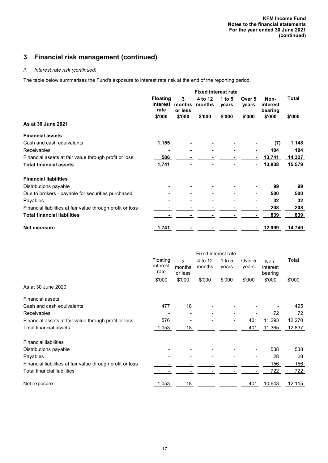### *ii. Interest rate risk (continued)*

The table below summarises the Fund's exposure to interest rate risk at the end of the reporting period.

|                                                            | <b>Fixed interest rate</b>          |                        |                   |                   |                 |                             |        |
|------------------------------------------------------------|-------------------------------------|------------------------|-------------------|-------------------|-----------------|-----------------------------|--------|
|                                                            | <b>Floating</b><br>interest<br>rate | 3<br>months<br>or less | 4 to 12<br>months | 1 to $5$<br>years | Over 5<br>vears | Non-<br>interest<br>bearing | Total  |
|                                                            | \$'000                              | \$'000                 | \$'000            | \$'000            | \$'000          | \$'000                      | \$'000 |
| As at 30 June 2021                                         |                                     |                        |                   |                   |                 |                             |        |
| <b>Financial assets</b>                                    |                                     |                        |                   |                   |                 |                             |        |
| Cash and cash equivalents                                  | 1,155                               |                        |                   |                   |                 | (7)                         | 1,148  |
| <b>Receivables</b>                                         |                                     |                        |                   |                   |                 | 104                         | 104    |
| Financial assets at fair value through profit or loss      | 586                                 |                        |                   |                   |                 | 13,741                      | 14,327 |
| <b>Total financial assets</b>                              | 1,741                               |                        |                   |                   |                 | 13,838                      | 15,579 |
| <b>Financial liabilities</b>                               |                                     |                        |                   |                   |                 |                             |        |
| Distributions payable                                      |                                     |                        |                   |                   |                 | 99                          | 99     |
| Due to brokers - payable for securities purchased          |                                     |                        |                   |                   |                 | 500                         | 500    |
| Payables                                                   |                                     |                        |                   |                   |                 | 32                          | 32     |
| Financial liabilities at fair value through profit or loss |                                     |                        |                   |                   |                 | 208                         | 208    |
| <b>Total financial liabilities</b>                         |                                     |                        |                   |                   |                 | 839                         | 839    |
| Net exposure                                               | 1,741                               |                        |                   |                   |                 | 12,999                      | 14,740 |

|                                                            | Fixed interest rate          |                        |                   |                   |                 |                             |            |
|------------------------------------------------------------|------------------------------|------------------------|-------------------|-------------------|-----------------|-----------------------------|------------|
|                                                            | Floating<br>interest<br>rate | 3<br>months<br>or less | 4 to 12<br>months | 1 to $5$<br>years | Over 5<br>years | Non-<br>interest<br>bearing | Total      |
|                                                            | \$'000                       | \$'000                 | \$'000            | \$'000            | \$'000          | \$'000                      | \$'000     |
| As at 30 June 2020                                         |                              |                        |                   |                   |                 |                             |            |
| <b>Financial assets</b>                                    |                              |                        |                   |                   |                 |                             |            |
| Cash and cash equivalents                                  | 477                          | 18                     |                   |                   |                 |                             | 495        |
| Receivables                                                |                              |                        |                   |                   |                 | 72                          | 72         |
| Financial assets at fair value through profit or loss      | 576                          |                        |                   |                   | 401             | 11,293                      | 12,270     |
| Total financial assets                                     | 1,053                        | 18                     |                   |                   | 401             | 11,365                      | 12,837     |
| <b>Financial liabilities</b>                               |                              |                        |                   |                   |                 |                             |            |
| Distributions payable                                      |                              |                        |                   |                   |                 | 538                         | 538        |
| Payables                                                   |                              |                        |                   |                   |                 | 28                          | 28         |
| Financial liabilities at fair value through profit or loss |                              |                        |                   |                   |                 | 156                         | <u>156</u> |
| Total financial liabilities                                |                              |                        |                   |                   |                 | 722                         | 722        |
| Net exposure                                               | 1,053                        | 18                     |                   |                   | 401             | 10,643                      | 12,115     |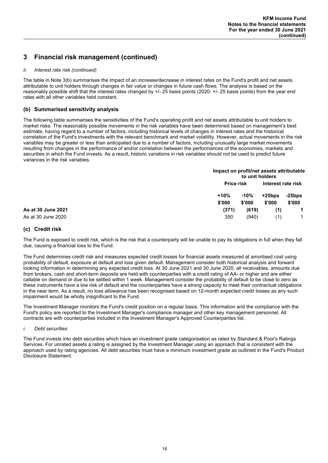### *ii. Interest rate risk (continued)*

The table in Note 3(b) summarises the impact of an increase/decrease in interest rates on the Fund's profit and net assets attributable to unit holders through changes in fair value or changes in future cash flows. The analysis is based on the reasonably possible shift that the interest rates changed by +/- 25 basis points (2020: +/- 25 basis points) from the year end rates with all other variables held constant.

### **(b) Summarised sensitivity analysis**

The following table summarises the sensitivities of the Fund's operating profit and net assets attributable to unit holders to market risks. The reasonably possible movements in the risk variables have been determined based on management's best estimate, having regard to a number of factors, including historical levels of changes in interest rates and the historical correlation of the Fund's investments with the relevant benchmark and market volatility. However, actual movements in the risk variables may be greater or less than anticipated due to a number of factors, including unusually large market movements resulting from changes in the performance of and/or correlation between the performances of the economies, markets and securities in which the Fund invests. As a result, historic variations in risk variables should not be used to predict future variances in the risk variables.

|                    | Impact on profit/net assets attributable | to unit holders  |                     |                  |
|--------------------|------------------------------------------|------------------|---------------------|------------------|
|                    | <b>Price risk</b>                        |                  | Interest rate risk  |                  |
|                    | $+10%$<br>\$'000                         | $-10%$<br>\$'000 | $+25$ bps<br>\$'000 | -25bps<br>\$'000 |
|                    |                                          |                  |                     |                  |
| As at 30 June 2021 | (371)                                    | (619)            | (1)                 |                  |
| As at 30 June 2020 | 350                                      | (940)            | (1)                 | 1                |

### **(c) Credit risk**

The Fund is exposed to credit risk, which is the risk that a counterparty will be unable to pay its obligations in full when they fall due, causing a financial loss to the Fund.

The Fund determines credit risk and measures expected credit losses for financial assets measured at amortised cost using probability of default, exposure at default and loss given default. Management consider both historical analysis and forward looking information in determining any expected credit loss. At 30 June 2021 and 30 June 2020, all receivables, amounts due from brokers, cash and short-term deposits are held with counterparties with a credit rating of AA- or higher and are either callable on demand or due to be settled within 1 week. Management consider the probability of default to be close to zero as these instruments have a low risk of default and the counterparties have a strong capacity to meet their contractual obligations in the near term. As a result, no loss allowance has been recognised based on 12-month expected credit losses as any such impairment would be wholly insignificant to the Fund.

The Investment Manager monitors the Fund's credit position on a regular basis. This information and the compliance with the Fund's policy are reported to the Investment Manager's compliance manager and other key management personnel. All contracts are with counterparties included in the Investment Manager's Approved Counterparties list.

### *i. Debt securities*

The Fund invests into debt securities which have an investment grade categorisation as rated by Standard & Poor's Ratings Services. For unrated assets a rating is assigned by the Investment Manager using an approach that is consistent with the approach used by rating agencies. All debt securities must have a minimum investment grade as outlined in the Fund's Product Disclosure Statement.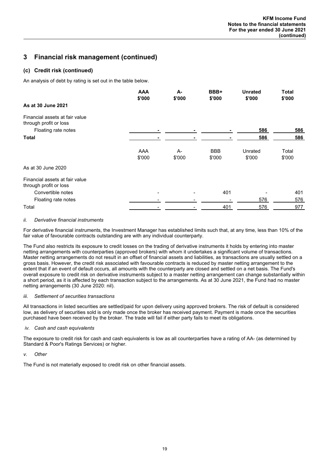### **(c) Credit risk (continued)**

An analysis of debt by rating is set out in the table below.

|                                                          | <b>AAA</b><br>\$'000 | А-<br>\$'000   | BBB+<br>\$'000       | <b>Unrated</b><br>\$'000 | <b>Total</b><br>\$'000 |
|----------------------------------------------------------|----------------------|----------------|----------------------|--------------------------|------------------------|
| As at 30 June 2021                                       |                      |                |                      |                          |                        |
| Financial assets at fair value<br>through profit or loss |                      |                |                      |                          |                        |
| Floating rate notes                                      |                      | ٠              |                      | 586                      | 586                    |
| <b>Total</b>                                             |                      |                |                      | 586                      | 586                    |
|                                                          | AAA<br>\$'000        | $A-$<br>\$'000 | <b>BBB</b><br>\$'000 | Unrated<br>\$'000        | Total<br>\$'000        |
| As at 30 June 2020                                       |                      |                |                      |                          |                        |
| Financial assets at fair value<br>through profit or loss |                      |                |                      |                          |                        |
| Convertible notes                                        |                      |                | 401                  |                          | 401                    |
| Floating rate notes                                      |                      |                |                      | 576                      | 576                    |
| Total                                                    |                      |                | 401                  | 576                      | 977                    |

### *ii. Derivative financial instruments*

For derivative financial instruments, the Investment Manager has established limits such that, at any time, less than 10% of the fair value of favourable contracts outstanding are with any individual counterparty.

The Fund also restricts its exposure to credit losses on the trading of derivative instruments it holds by entering into master netting arrangements with counterparties (approved brokers) with whom it undertakes a significant volume of transactions. Master netting arrangements do not result in an offset of financial assets and liabilities, as transactions are usually settled on a gross basis. However, the credit risk associated with favourable contracts is reduced by master netting arrangement to the extent that if an event of default occurs, all amounts with the counterparty are closed and settled on a net basis. The Fund's overall exposure to credit risk on derivative instruments subject to a master netting arrangement can change substantially within a short period, as it is affected by each transaction subject to the arrangements. As at 30 June 2021, the Fund had no master netting arrangements (30 June 2020: nil).

### *iii. Settlement of securities transactions*

All transactions in listed securities are settled/paid for upon delivery using approved brokers. The risk of default is considered low, as delivery of securities sold is only made once the broker has received payment. Payment is made once the securities purchased have been received by the broker. The trade will fail if either party fails to meet its obligations.

### *iv. Cash and cash equivalents*

The exposure to credit risk for cash and cash equivalents is low as all counterparties have a rating of AA- (as determined by Standard & Poor's Ratings Services) or higher.

### *v. Other*

The Fund is not materially exposed to credit risk on other financial assets.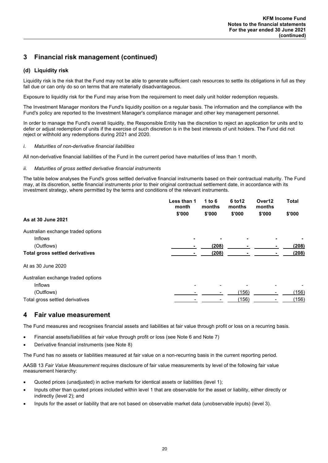### **(d) Liquidity risk**

Liquidity risk is the risk that the Fund may not be able to generate sufficient cash resources to settle its obligations in full as they fall due or can only do so on terms that are materially disadvantageous.

Exposure to liquidity risk for the Fund may arise from the requirement to meet daily unit holder redemption requests.

The Investment Manager monitors the Fund's liquidity position on a regular basis. The information and the compliance with the Fund's policy are reported to the Investment Manager's compliance manager and other key management personnel.

In order to manage the Fund's overall liquidity, the Responsible Entity has the discretion to reject an application for units and to defer or adjust redemption of units if the exercise of such discretion is in the best interests of unit holders. The Fund did not reject or withhold any redemptions during 2021 and 2020.

### *i. Maturities of non-derivative financial liabilities*

All non-derivative financial liabilities of the Fund in the current period have maturities of less than 1 month.

### *ii. Maturities of gross settled derivative financial instruments*

The table below analyses the Fund's gross settled derivative financial instruments based on their contractual maturity. The Fund may, at its discretion, settle financial instruments prior to their original contractual settlement date, in accordance with its investment strategy, where permitted by the terms and conditions of the relevant instruments.

|                                        | Less than 1<br>month | 1 to $6$<br>months | 6 to 12<br>months | Over <sub>12</sub><br>months | <b>Total</b> |
|----------------------------------------|----------------------|--------------------|-------------------|------------------------------|--------------|
| As at 30 June 2021                     | \$'000               | \$'000             | \$'000            | \$'000                       | \$'000       |
| Australian exchange traded options     |                      |                    |                   |                              |              |
| <b>Inflows</b>                         | -                    | ٠                  |                   |                              |              |
| (Outflows)                             |                      | (208)              |                   |                              | (208)        |
| <b>Total gross settled derivatives</b> |                      | (208)              |                   |                              | (208)        |
| At as 30 June 2020                     |                      |                    |                   |                              |              |
| Australian exchange traded options     |                      |                    |                   |                              |              |
| <b>Inflows</b>                         |                      |                    |                   |                              |              |
| (Outflows)                             |                      |                    | (156)             |                              | (156)        |
| Total gross settled derivatives        |                      |                    | (156)             |                              | (156)        |

### **4 Fair value measurement**

The Fund measures and recognises financial assets and liabilities at fair value through profit or loss on a recurring basis.

- Financial assets/liabilities at fair value through profit or loss (see Note 6 and Note 7)
- Derivative financial instruments (see Note 8)

The Fund has no assets or liabilities measured at fair value on a non-recurring basis in the current reporting period.

AASB 13 *Fair Value Measurement* requires disclosure of fair value measurements by level of the following fair value measurement hierarchy:

- Quoted prices (unadjusted) in active markets for identical assets or liabilities (level 1);
- Inputs other than quoted prices included within level 1 that are observable for the asset or liability, either directly or indirectly (level 2); and
- Inputs for the asset or liability that are not based on observable market data (unobservable inputs) (level 3).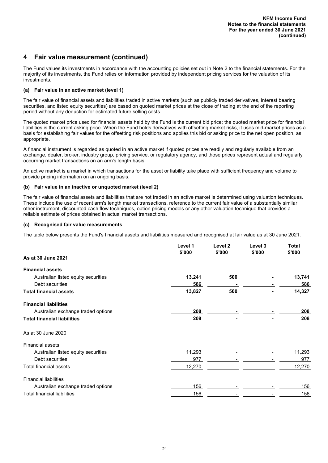# **4 Fair value measurement (continued)**

The Fund values its investments in accordance with the accounting policies set out in Note 2 to the financial statements. For the majority of its investments, the Fund relies on information provided by independent pricing services for the valuation of its investments.

### **(a) Fair value in an active market (level 1)**

The fair value of financial assets and liabilities traded in active markets (such as publicly traded derivatives, interest bearing securities, and listed equity securities) are based on quoted market prices at the close of trading at the end of the reporting period without any deduction for estimated future selling costs.

The quoted market price used for financial assets held by the Fund is the current bid price; the quoted market price for financial liabilities is the current asking price. When the Fund holds derivatives with offsetting market risks, it uses mid-market prices as a basis for establishing fair values for the offsetting risk positions and applies this bid or asking price to the net open position, as appropriate.

A financial instrument is regarded as quoted in an active market if quoted prices are readily and regularly available from an exchange, dealer, broker, industry group, pricing service, or regulatory agency, and those prices represent actual and regularly occurring market transactions on an arm's length basis.

An active market is a market in which transactions for the asset or liability take place with sufficient frequency and volume to provide pricing information on an ongoing basis.

### **(b) Fair value in an inactive or unquoted market (level 2)**

The fair value of financial assets and liabilities that are not traded in an active market is determined using valuation techniques. These include the use of recent arm's length market transactions, reference to the current fair value of a substantially similar other instrument, discounted cash flow techniques, option pricing models or any other valuation technique that provides a reliable estimate of prices obtained in actual market transactions.

### **(c) Recognised fair value measurements**

The table below presents the Fund's financial assets and liabilities measured and recognised at fair value as at 30 June 2021.

|                                     | Level 1<br>\$'000 | Level <sub>2</sub><br>\$'000 | Level 3<br>\$'000 | <b>Total</b><br>\$'000 |
|-------------------------------------|-------------------|------------------------------|-------------------|------------------------|
| As at 30 June 2021                  |                   |                              |                   |                        |
| <b>Financial assets</b>             |                   |                              |                   |                        |
| Australian listed equity securities | 13,241            | 500                          |                   | 13,741                 |
| Debt securities                     | 586               |                              |                   | 586                    |
| <b>Total financial assets</b>       | 13,827            | 500                          |                   | 14,327                 |
| <b>Financial liabilities</b>        |                   |                              |                   |                        |
| Australian exchange traded options  | 208               |                              |                   | 208                    |
| <b>Total financial liabilities</b>  | 208               |                              |                   | 208                    |
| As at 30 June 2020                  |                   |                              |                   |                        |
| <b>Financial assets</b>             |                   |                              |                   |                        |
| Australian listed equity securities | 11,293            |                              |                   | 11,293                 |
| Debt securities                     | 977               |                              |                   | 977                    |
| <b>Total financial assets</b>       | 12,270            |                              |                   | 12,270                 |
| <b>Financial liabilities</b>        |                   |                              |                   |                        |
| Australian exchange traded options  | 156               |                              |                   | 156                    |
| <b>Total financial liabilities</b>  | 156               |                              |                   | 156                    |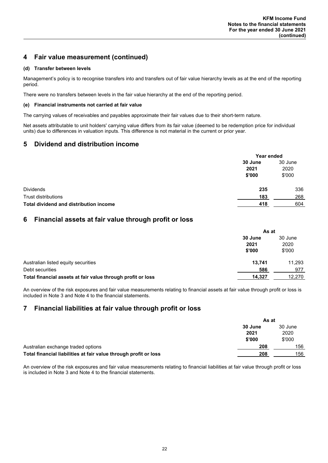# **4 Fair value measurement (continued)**

### **(d) Transfer between levels**

Management's policy is to recognise transfers into and transfers out of fair value hierarchy levels as at the end of the reporting period.

There were no transfers between levels in the fair value hierarchy at the end of the reporting period.

### **(e) Financial instruments not carried at fair value**

The carrying values of receivables and payables approximate their fair values due to their short-term nature.

Net assets attributable to unit holders' carrying value differs from its fair value (deemed to be redemption price for individual units) due to differences in valuation inputs. This difference is not material in the current or prior year.

# **5 Dividend and distribution income**

|                                        | Year ended      |                 |
|----------------------------------------|-----------------|-----------------|
|                                        | 30 June<br>2021 | 30 June<br>2020 |
| <b>Dividends</b>                       | \$'000<br>235   | \$'000<br>336   |
| <b>Trust distributions</b>             | 183             | 268             |
| Total dividend and distribution income | 418             | 604             |

## **6 Financial assets at fair value through profit or loss**

|                                                             | As at   |         |
|-------------------------------------------------------------|---------|---------|
|                                                             | 30 June | 30 June |
|                                                             | 2021    | 2020    |
|                                                             | \$'000  | \$'000  |
| Australian listed equity securities                         | 13.741  | 11,293  |
| Debt securities                                             | 586     | 977     |
| Total financial assets at fair value through profit or loss | 14,327  | 12,270  |

An overview of the risk exposures and fair value measurements relating to financial assets at fair value through profit or loss is included in Note 3 and Note 4 to the financial statements.

## **7 Financial liabilities at fair value through profit or loss**

|                                                                  | As at   |         |
|------------------------------------------------------------------|---------|---------|
|                                                                  | 30 June | 30 June |
|                                                                  | 2021    | 2020    |
|                                                                  | \$'000  | \$'000  |
| Australian exchange traded options                               | 208     | 156     |
| Total financial liabilities at fair value through profit or loss | 208     | 156     |

An overview of the risk exposures and fair value measurements relating to financial liabilities at fair value through profit or loss is included in Note 3 and Note 4 to the financial statements.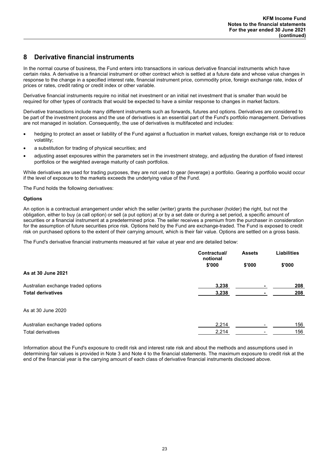# **8 Derivative financial instruments**

In the normal course of business, the Fund enters into transactions in various derivative financial instruments which have certain risks. A derivative is a financial instrument or other contract which is settled at a future date and whose value changes in response to the change in a specified interest rate, financial instrument price, commodity price, foreign exchange rate, index of prices or rates, credit rating or credit index or other variable.

Derivative financial instruments require no initial net investment or an initial net investment that is smaller than would be required for other types of contracts that would be expected to have a similar response to changes in market factors.

Derivative transactions include many different instruments such as forwards, futures and options. Derivatives are considered to be part of the investment process and the use of derivatives is an essential part of the Fund's portfolio management. Derivatives are not managed in isolation. Consequently, the use of derivatives is multifaceted and includes:

- hedging to protect an asset or liability of the Fund against a fluctuation in market values, foreign exchange risk or to reduce volatility;
- a substitution for trading of physical securities; and
- adjusting asset exposures within the parameters set in the investment strategy, and adjusting the duration of fixed interest portfolios or the weighted average maturity of cash portfolios.

While derivatives are used for trading purposes, they are not used to gear (leverage) a portfolio. Gearing a portfolio would occur if the level of exposure to the markets exceeds the underlying value of the Fund.

The Fund holds the following derivatives:

### **Options**

An option is a contractual arrangement under which the seller (writer) grants the purchaser (holder) the right, but not the obligation, either to buy (a call option) or sell (a put option) at or by a set date or during a set period, a specific amount of securities or a financial instrument at a predetermined price. The seller receives a premium from the purchaser in consideration for the assumption of future securities price risk. Options held by the Fund are exchange-traded. The Fund is exposed to credit risk on purchased options to the extent of their carrying amount, which is their fair value. Options are settled on a gross basis.

The Fund's derivative financial instruments measured at fair value at year end are detailed below:

|                                    | Contractual/<br>notional | <b>Assets</b> | <b>Liabilities</b> |
|------------------------------------|--------------------------|---------------|--------------------|
|                                    | \$'000                   | \$'000        | \$'000             |
| As at 30 June 2021                 |                          |               |                    |
| Australian exchange traded options | 3,238                    |               | 208                |
| <b>Total derivatives</b>           | 3,238                    |               | 208                |
| As at 30 June 2020                 |                          |               |                    |
| Australian exchange traded options | 2,214                    |               | 156                |
| <b>Total derivatives</b>           | 2,214                    |               | 156                |

Information about the Fund's exposure to credit risk and interest rate risk and about the methods and assumptions used in determining fair values is provided in Note 3 and Note 4 to the financial statements. The maximum exposure to credit risk at the end of the financial year is the carrying amount of each class of derivative financial instruments disclosed above.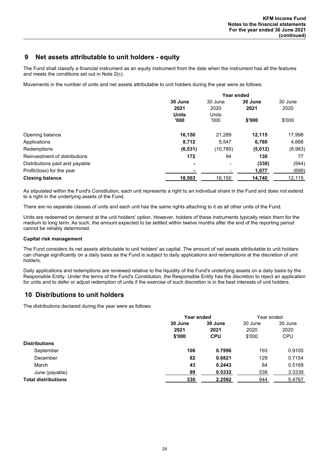### **9 Net assets attributable to unit holders - equity**

The Fund shall classify a financial instrument as an equity instrument from the date when the instrument has all the features and meets the conditions set out in Note 2(c).

Movements in the number of units and net assets attributable to unit holders during the year were as follows:

|                                | Year ended               |                |         |         |
|--------------------------------|--------------------------|----------------|---------|---------|
|                                | 30 June                  | 30 June        | 30 June | 30 June |
|                                | 2021                     | 2020           | 2021    | 2020    |
|                                | <b>Units</b><br>'000     | Units<br>'000' | \$'000  | \$'000  |
| Opening balance                | 16,150                   | 21,289         | 12.115  | 17,998  |
| Applications                   | 8,712                    | 5,547          | 6,760   | 4,666   |
| Redemptions                    | (6, 531)                 | (10, 780)      | (5,012) | (8,983) |
| Reinvestment of distributions  | 172                      | 94             | 130     | 77      |
| Distributions paid and payable | $\overline{\phantom{a}}$ | $\,$           | (330)   | (944)   |
| Profit/(loss) for the year     |                          |                | 1,077   | (699)   |
| <b>Closing balance</b>         | 18,503                   | 16,150         | 14,740  | 12,115  |

As stipulated within the Fund's Constitution, each unit represents a right to an individual share in the Fund and does not extend to a right in the underlying assets of the Fund.

There are no separate classes of units and each unit has the same rights attaching to it as all other units of the Fund.

Units are redeemed on demand at the unit holders' option. However, holders of these instruments typically retain them for the medium to long term. As such, the amount expected to be settled within twelve months after the end of the reporting period cannot be reliably determined.

### **Capital risk management**

The Fund considers its net assets attributable to unit holders' as capital. The amount of net assets attributable to unit holders can change significantly on a daily basis as the Fund is subject to daily applications and redemptions at the discretion of unit holders.

Daily applications and redemptions are reviewed relative to the liquidity of the Fund's underlying assets on a daily basis by the Responsible Entity. Under the terms of the Fund's Constitution, the Responsible Entity has the discretion to reject an application for units and to defer or adjust redemption of units if the exercise of such discretion is in the best interests of unit holders.

## **10 Distributions to unit holders**

The distributions declared during the year were as follows:

|                            | Year ended |            | Year ended |            |
|----------------------------|------------|------------|------------|------------|
|                            | 30 June    | 30 June    | 30 June    | 30 June    |
|                            | 2021       | 2021       | 2020       | 2020       |
|                            | \$'000     | <b>CPU</b> | \$'000     | <b>CPU</b> |
| <b>Distributions</b>       |            |            |            |            |
| September                  | 106        | 0.7996     | 193        | 0.9105     |
| December                   | 82         | 0.6821     | 129        | 0.7154     |
| March                      | 43         | 0.2443     | 84         | 0.5169     |
| June (payable)             | 99         | 0.5332     | 538        | 3.3339     |
| <b>Total distributions</b> | 330        | 2.2592     | 944        | 5.4767     |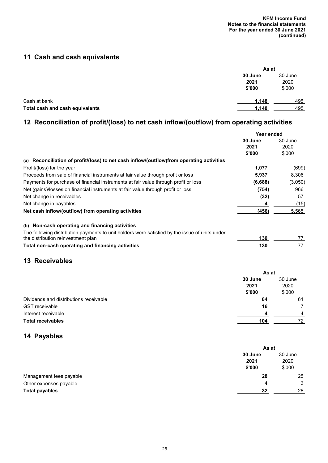# **11 Cash and cash equivalents**

|                                 | As at                     |                           |
|---------------------------------|---------------------------|---------------------------|
|                                 | 30 June<br>2021<br>\$'000 | 30 June<br>2020<br>\$'000 |
| Cash at bank                    | 1,148                     | 495                       |
| Total cash and cash equivalents | 1,148                     | 495                       |

# **12 Reconciliation of profit/(loss) to net cash inflow/(outflow) from operating activities**

|                                                                                                | Year ended |         |
|------------------------------------------------------------------------------------------------|------------|---------|
|                                                                                                | 30 June    | 30 June |
|                                                                                                | 2021       | 2020    |
|                                                                                                | \$'000     | \$'000  |
| (a) Reconciliation of profit/(loss) to net cash inflow/(outflow)from operating activities      |            |         |
| Profit/(loss) for the year                                                                     | 1,077      | (699)   |
| Proceeds from sale of financial instruments at fair value through profit or loss               | 5,937      | 8,306   |
| Payments for purchase of financial instruments at fair value through profit or loss            | (6,688)    | (3,050) |
| Net (gains)/losses on financial instruments at fair value through profit or loss               | (754)      | 966     |
| Net change in receivables                                                                      | (32)       | 57      |
| Net change in payables                                                                         | 4          | (15)    |
| Net cash inflow/(outflow) from operating activities                                            | (456)      | 5,565   |
| (b) Non-cash operating and financing activities                                                |            |         |
| The following distribution payments to unit holders were satisfied by the issue of units under |            |         |
| the distribution reinvestment plan                                                             | 130        | 77      |
| Total non-cash operating and financing activities                                              | 130        | 77      |
|                                                                                                |            |         |

# **13 Receivables**

|                                        | As at   |         |
|----------------------------------------|---------|---------|
|                                        | 30 June | 30 June |
|                                        | 2021    | 2020    |
|                                        | \$'000  | \$'000  |
| Dividends and distributions receivable | 84      | 61      |
| <b>GST</b> receivable                  | 16      |         |
| Interest receivable                    |         | Δ       |
| <b>Total receivables</b>               | 104     | 72      |

# **14 Payables**

|                         |                           | As at                     |  |
|-------------------------|---------------------------|---------------------------|--|
|                         | 30 June<br>2021<br>\$'000 | 30 June<br>2020<br>\$'000 |  |
| Management fees payable | 28                        | 25                        |  |
| Other expenses payable  | ◢                         | ົ                         |  |
| <b>Total payables</b>   | 32                        | 28                        |  |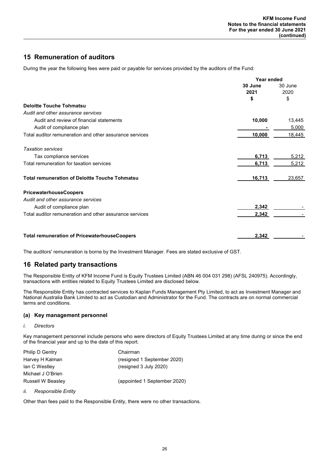# **15 Remuneration of auditors**

During the year the following fees were paid or payable for services provided by the auditors of the Fund:

|                                                         | Year ended |         |
|---------------------------------------------------------|------------|---------|
|                                                         | 30 June    | 30 June |
|                                                         | 2021       | 2020    |
|                                                         | \$         | \$      |
| <b>Deloitte Touche Tohmatsu</b>                         |            |         |
| Audit and other assurance services                      |            |         |
| Audit and review of financial statements                | 10,000     | 13,445  |
| Audit of compliance plan                                |            | 5,000   |
| Total auditor remuneration and other assurance services | 10,000     | 18,445  |
| <b>Taxation services</b>                                |            |         |
| Tax compliance services                                 | 6,713      | 5,212   |
| Total remuneration for taxation services                | 6,713      | 5,212   |
| <b>Total remuneration of Deloitte Touche Tohmatsu</b>   | 16,713     | 23,657  |
| <b>PricewaterhouseCoopers</b>                           |            |         |
| Audit and other assurance services                      |            |         |
| Audit of compliance plan                                | 2,342      |         |
| Total auditor remuneration and other assurance services | 2,342      |         |
| <b>Total remuneration of PricewaterhouseCoopers</b>     | 2,342      |         |

The auditors' remuneration is borne by the Investment Manager. Fees are stated exclusive of GST.

# **16 Related party transactions**

The Responsible Entity of KFM Income Fund is Equity Trustees Limited (ABN 46 004 031 298) (AFSL 240975). Accordingly, transactions with entities related to Equity Trustees Limited are disclosed below.

The Responsible Entity has contracted services to Kaplan Funds Management Pty Limited, to act as Investment Manager and National Australia Bank Limited to act as Custodian and Administrator for the Fund. The contracts are on normal commercial terms and conditions.

### **(a) Key management personnel**

*i. Directors*

Key management personnel include persons who were directors of Equity Trustees Limited at any time during or since the end of the financial year and up to the date of this report.

| Philip D Gentry          | Chairman                     |
|--------------------------|------------------------------|
| Harvey H Kalman          | (resigned 1 September 2020)  |
| lan C Westley            | (resigned 3 July 2020)       |
| Michael J O'Brien        |                              |
| <b>Russell W Beasley</b> | (appointed 1 September 2020) |

### *ii. Responsible Entity*

Other than fees paid to the Responsible Entity, there were no other transactions.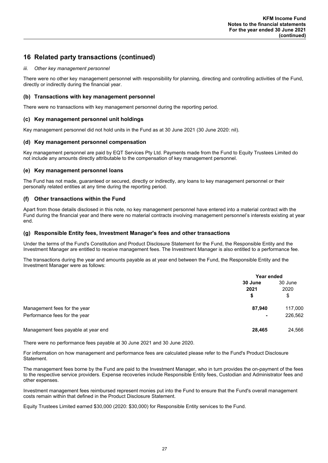# **16 Related party transactions (continued)**

### *iii. Other key management personnel*

There were no other key management personnel with responsibility for planning, directing and controlling activities of the Fund, directly or indirectly during the financial year.

### **(b) Transactions with key management personnel**

There were no transactions with key management personnel during the reporting period.

### **(c) Key management personnel unit holdings**

Key management personnel did not hold units in the Fund as at 30 June 2021 (30 June 2020: nil).

### **(d) Key management personnel compensation**

Key management personnel are paid by EQT Services Pty Ltd. Payments made from the Fund to Equity Trustees Limited do not include any amounts directly attributable to the compensation of key management personnel.

### **(e) Key management personnel loans**

The Fund has not made, guaranteed or secured, directly or indirectly, any loans to key management personnel or their personally related entities at any time during the reporting period.

### **(f) Other transactions within the Fund**

Apart from those details disclosed in this note, no key management personnel have entered into a material contract with the Fund during the financial year and there were no material contracts involving management personnel's interests existing at year end.

### **(g) Responsible Entity fees, Investment Manager's fees and other transactions**

Under the terms of the Fund's Constitution and Product Disclosure Statement for the Fund, the Responsible Entity and the Investment Manager are entitled to receive management fees. The Investment Manager is also entitled to a performance fee.

The transactions during the year and amounts payable as at year end between the Fund, the Responsible Entity and the Investment Manager were as follows:

|                                     |                 | Year ended            |  |
|-------------------------------------|-----------------|-----------------------|--|
|                                     | 30 June<br>2021 | 30 June<br>2020<br>\$ |  |
|                                     | \$              |                       |  |
| Management fees for the year        | 87,940          | 117,000               |  |
| Performance fees for the year       |                 | 226,562               |  |
| Management fees payable at year end | 28,465          | 24,566                |  |

There were no performance fees payable at 30 June 2021 and 30 June 2020.

For information on how management and performance fees are calculated please refer to the Fund's Product Disclosure Statement.

The management fees borne by the Fund are paid to the Investment Manager, who in turn provides the on-payment of the fees to the respective service providers. Expense recoveries include Responsible Entity fees, Custodian and Administrator fees and other expenses.

Investment management fees reimbursed represent monies put into the Fund to ensure that the Fund's overall management costs remain within that defined in the Product Disclosure Statement.

Equity Trustees Limited earned \$30,000 (2020: \$30,000) for Responsible Entity services to the Fund.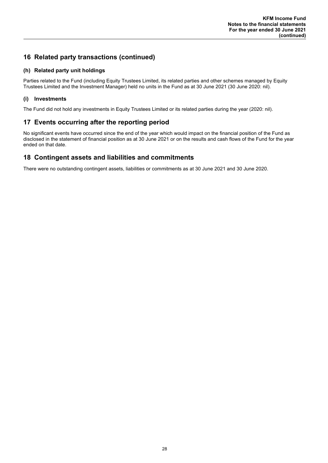# **16 Related party transactions (continued)**

### **(h) Related party unit holdings**

Parties related to the Fund (including Equity Trustees Limited, its related parties and other schemes managed by Equity Trustees Limited and the Investment Manager) held no units in the Fund as at 30 June 2021 (30 June 2020: nil).

### **(i) Investments**

The Fund did not hold any investments in Equity Trustees Limited or its related parties during the year (2020: nil).

# **17 Events occurring after the reporting period**

No significant events have occurred since the end of the year which would impact on the financial position of the Fund as disclosed in the statement of financial position as at 30 June 2021 or on the results and cash flows of the Fund for the year ended on that date.

### **18 Contingent assets and liabilities and commitments**

There were no outstanding contingent assets, liabilities or commitments as at 30 June 2021 and 30 June 2020.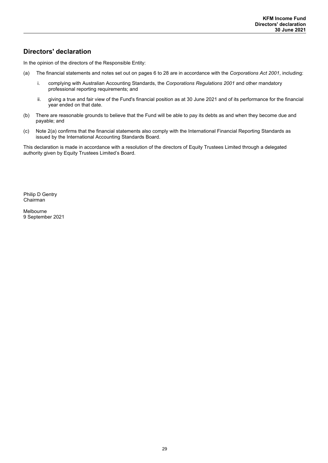# **Directors' declaration**

In the opinion of the directors of the Responsible Entity:

- (a) The financial statements and notes set out on pages 6 to 28 are in accordance with the *Corporations Act 2001*, including:
	- i. complying with Australian Accounting Standards, the *Corporations Regulations 2001* and other mandatory professional reporting requirements; and
	- ii. giving a true and fair view of the Fund's financial position as at 30 June 2021 and of its performance for the financial year ended on that date.
- (b) There are reasonable grounds to believe that the Fund will be able to pay its debts as and when they become due and payable; and
- (c) Note 2(a) confirms that the financial statements also comply with the International Financial Reporting Standards as issued by the International Accounting Standards Board.

This declaration is made in accordance with a resolution of the directors of Equity Trustees Limited through a delegated authority given by Equity Trustees Limited's Board.

Philip D Gentry Chairman

Melbourne 9 September 2021